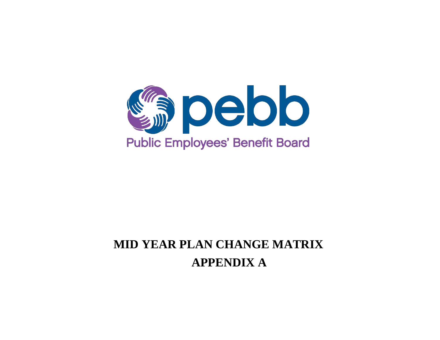

# **MID YEAR PLAN CHANGE MATRIX APPENDIX A**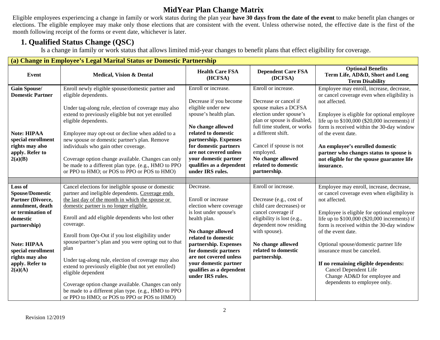Eligible employees experiencing a change in family or work status during the plan year **have 30 days from the date of the event** to make benefit plan changes or elections. The eligible employee may make only those elections that are consistent with the event. Unless otherwise noted, the effective date is the first of the month following receipt of the forms or event date, whichever is later.

## **1. Qualified Status Change (QSC)**

Is a change in family or work status that allows limited mid-year changes to benefit plans that effect eligibility for coverage.

|                                                                                                                                                                                                                          | (a) Change in Employee's Legal Marital Status or Domestic Partnership                                                                                                                                                                                                                                                                                                                                                                                                                                                                                                                                                                                                                          |                                                                                                                                                                                                                                                                                                       |                                                                                                                                                                                                                                                                                         |                                                                                                                                                                                                                                                                                                                                                                                                                                                                                     |  |  |  |
|--------------------------------------------------------------------------------------------------------------------------------------------------------------------------------------------------------------------------|------------------------------------------------------------------------------------------------------------------------------------------------------------------------------------------------------------------------------------------------------------------------------------------------------------------------------------------------------------------------------------------------------------------------------------------------------------------------------------------------------------------------------------------------------------------------------------------------------------------------------------------------------------------------------------------------|-------------------------------------------------------------------------------------------------------------------------------------------------------------------------------------------------------------------------------------------------------------------------------------------------------|-----------------------------------------------------------------------------------------------------------------------------------------------------------------------------------------------------------------------------------------------------------------------------------------|-------------------------------------------------------------------------------------------------------------------------------------------------------------------------------------------------------------------------------------------------------------------------------------------------------------------------------------------------------------------------------------------------------------------------------------------------------------------------------------|--|--|--|
| Event                                                                                                                                                                                                                    | <b>Medical, Vision &amp; Dental</b>                                                                                                                                                                                                                                                                                                                                                                                                                                                                                                                                                                                                                                                            | <b>Health Care FSA</b><br>(HCFSA)                                                                                                                                                                                                                                                                     | <b>Dependent Care FSA</b><br>(DCFSA)                                                                                                                                                                                                                                                    | <b>Optional Benefits</b><br>Term Life, AD&D, Short and Long<br><b>Term Disability</b>                                                                                                                                                                                                                                                                                                                                                                                               |  |  |  |
| <b>Gain Spouse/</b><br><b>Domestic Partner</b><br><b>Note: HIPAA</b><br>special enrollment<br>rights may also<br>apply. Refer to<br>2(a)(B)                                                                              | Enroll newly eligible spouse/domestic partner and<br>eligible dependents.<br>Under tag-along rule, election of coverage may also<br>extend to previously eligible but not yet enrolled<br>eligible dependents.<br>Employee may opt-out or decline when added to a<br>new spouse or domestic partner's plan. Remove<br>individuals who gain other coverage.<br>Coverage option change available. Changes can only<br>be made to a different plan type. (e.g., HMO to PPO<br>or PPO to HMO; or POS to PPO or POS to HMO)                                                                                                                                                                         | Enroll or increase.<br>Decrease if you become<br>eligible under new<br>spouse's health plan.<br>No change allowed<br>related to domestic<br>partnership. Expenses<br>for domestic partners<br>are not covered unless<br>your domestic partner<br>qualifies as a dependent<br>under IRS rules.         | Enroll or increase.<br>Decrease or cancel if<br>spouse makes a DCFSA<br>election under spouse's<br>plan or spouse is disabled,<br>full time student, or works<br>a different shift.<br>Cancel if spouse is not<br>employed.<br>No change allowed<br>related to domestic<br>partnership. | Employee may enroll, increase, decrease,<br>or cancel coverage even when eligibility is<br>not affected.<br>Employee is eligible for optional employee<br>life up to \$100,000 (\$20,000 increments) if<br>form is received within the 30-day window<br>of the event date.<br>An employee's enrolled domestic<br>partner who changes status to spouse is<br>not eligible for the spouse guarantee life<br>insurance.                                                                |  |  |  |
|                                                                                                                                                                                                                          |                                                                                                                                                                                                                                                                                                                                                                                                                                                                                                                                                                                                                                                                                                |                                                                                                                                                                                                                                                                                                       |                                                                                                                                                                                                                                                                                         |                                                                                                                                                                                                                                                                                                                                                                                                                                                                                     |  |  |  |
| Loss of<br><b>Spouse/Domestic</b><br>Partner (Divorce,<br>annulment, death<br>or termination of<br>domestic<br>partnership)<br><b>Note: HIPAA</b><br>special enrollment<br>rights may also<br>apply. Refer to<br>2(a)(A) | Cancel elections for ineligible spouse or domestic<br>partner and ineligible dependents. Coverage ends<br>the last day of the month in which the spouse or<br>domestic partner is no longer eligible.<br>Enroll and add eligible dependents who lost other<br>coverage.<br>Enroll from Opt-Out if you lost eligibility under<br>spouse/partner's plan and you were opting out to that<br>plan<br>Under tag-along rule, election of coverage may also<br>extend to previously eligible (but not yet enrolled)<br>eligible dependent<br>Coverage option change available. Changes can only<br>be made to a different plan type. (e.g., HMO to PPO<br>or PPO to HMO; or POS to PPO or POS to HMO) | Decrease.<br>Enroll or increase<br>election where coverage<br>is lost under spouse's<br>health plan.<br>No change allowed<br>related to domestic<br>partnership. Expenses<br>for domestic partners<br>are not covered unless<br>your domestic partner<br>qualifies as a dependent<br>under IRS rules. | Enroll or increase.<br>Decrease (e.g., cost of<br>child care decreases) or<br>cancel coverage if<br>eligibility is lost (e.g.,<br>dependent now residing<br>with spouse).<br>No change allowed<br>related to domestic<br>partnership.                                                   | Employee may enroll, increase, decrease,<br>or cancel coverage even when eligibility is<br>not affected.<br>Employee is eligible for optional employee<br>life up to \$100,000 (\$20,000 increments) if<br>form is received within the 30-day window<br>of the event date.<br>Optional spouse/domestic partner life<br>insurance must be canceled.<br>If no remaining eligible dependents:<br>Cancel Dependent Life<br>Change AD&D for employee and<br>dependents to employee only. |  |  |  |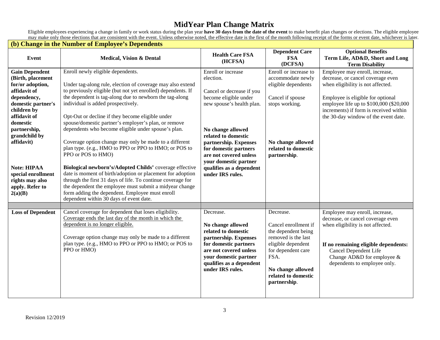Eligible employees experiencing a change in family or work status during the plan year **have 30 days from the date of the event** to make benefit plan changes or elections. The eligible employee may make only those elections that are consistent with the event. Unless otherwise noted, the effective date is the first of the month following receipt of the forms or event date, whichever is later.

|                                                                                                                                                                                                                                                                                                            | (b) Change in the Number of Employee's Dependents                                                                                                                                                                                                                                                                                                                                                                                                                                                                                                                                                                                                                                                                                                                                                                                                                                                                             |                                                                                                                                                                                                                                                                                                                     |                                                                                                                                                                                                 |                                                                                                                                                                                                                                                                            |
|------------------------------------------------------------------------------------------------------------------------------------------------------------------------------------------------------------------------------------------------------------------------------------------------------------|-------------------------------------------------------------------------------------------------------------------------------------------------------------------------------------------------------------------------------------------------------------------------------------------------------------------------------------------------------------------------------------------------------------------------------------------------------------------------------------------------------------------------------------------------------------------------------------------------------------------------------------------------------------------------------------------------------------------------------------------------------------------------------------------------------------------------------------------------------------------------------------------------------------------------------|---------------------------------------------------------------------------------------------------------------------------------------------------------------------------------------------------------------------------------------------------------------------------------------------------------------------|-------------------------------------------------------------------------------------------------------------------------------------------------------------------------------------------------|----------------------------------------------------------------------------------------------------------------------------------------------------------------------------------------------------------------------------------------------------------------------------|
| <b>Event</b>                                                                                                                                                                                                                                                                                               | <b>Medical, Vision &amp; Dental</b>                                                                                                                                                                                                                                                                                                                                                                                                                                                                                                                                                                                                                                                                                                                                                                                                                                                                                           | <b>Health Care FSA</b><br>(HCFSA)                                                                                                                                                                                                                                                                                   | <b>Dependent Care</b><br><b>FSA</b><br>(DCFSA)                                                                                                                                                  | <b>Optional Benefits</b><br>Term Life, AD&D, Short and Long<br><b>Term Disability</b>                                                                                                                                                                                      |
| <b>Gain Dependent</b><br>(Birth, placement<br>for/or adoption,<br>affidavit of<br>dependency,<br>domestic partner's<br>children by<br>affidavit of<br>domestic<br>partnership,<br>grandchild by<br>affidavit)<br><b>Note: HIPAA</b><br>special enrollment<br>rights may also<br>apply. Refer to<br>2(a)(B) | Enroll newly eligible dependents.<br>Under tag-along rule, election of coverage may also extend<br>to previously eligible (but not yet enrolled) dependents. If<br>the dependent is tag-along due to newborn the tag-along<br>individual is added prospectively.<br>Opt-Out or decline if they become eligible under<br>spouse/domestic partner's employer's plan, or remove<br>dependents who become eligible under spouse's plan.<br>Coverage option change may only be made to a different<br>plan type. (e.g., HMO to PPO or PPO to HMO; or POS to<br>PPO or POS to HMO)<br>Biological newborn's/Adopted Childs' coverage effective<br>date is moment of birth/adoption or placement for adoption<br>through the first 31 days of life. To continue coverage for<br>the dependent the employee must submit a midyear change<br>form adding the dependent. Employee must enroll<br>dependent within 30 days of event date. | Enroll or increase<br>election.<br>Cancel or decrease if you<br>become eligible under<br>new spouse's health plan.<br>No change allowed<br>related to domestic<br>partnership. Expenses<br>for domestic partners<br>are not covered unless<br>your domestic partner<br>qualifies as a dependent<br>under IRS rules. | Enroll or increase to<br>accommodate newly<br>eligible dependents<br>Cancel if spouse<br>stops working.<br>No change allowed<br>related to domestic<br>partnership.                             | Employee may enroll, increase,<br>decrease, or cancel coverage even<br>when eligibility is not affected.<br>Employee is eligible for optional<br>employee life up to \$100,000 (\$20,000<br>increments) if form is received within<br>the 30-day window of the event date. |
|                                                                                                                                                                                                                                                                                                            |                                                                                                                                                                                                                                                                                                                                                                                                                                                                                                                                                                                                                                                                                                                                                                                                                                                                                                                               |                                                                                                                                                                                                                                                                                                                     |                                                                                                                                                                                                 |                                                                                                                                                                                                                                                                            |
| <b>Loss of Dependent</b>                                                                                                                                                                                                                                                                                   | Cancel coverage for dependent that loses eligibility.<br>Coverage ends the last day of the month in which the<br>dependent is no longer eligible.<br>Coverage option change may only be made to a different<br>plan type. (e.g., HMO to PPO or PPO to HMO; or POS to<br>PPO or HMO)                                                                                                                                                                                                                                                                                                                                                                                                                                                                                                                                                                                                                                           | Decrease.<br>No change allowed<br>related to domestic<br>partnership. Expenses<br>for domestic partners<br>are not covered unless<br>your domestic partner<br>qualifies as a dependent<br>under IRS rules.                                                                                                          | Decrease.<br>Cancel enrollment if<br>the dependent being<br>removed is the last<br>eligible dependent<br>for dependent care<br>FSA.<br>No change allowed<br>related to domestic<br>partnership. | Employee may enroll, increase,<br>decrease, or cancel coverage even<br>when eligibility is not affected.<br>If no remaining eligible dependents:<br><b>Cancel Dependent Life</b><br>Change AD&D for employee &<br>dependents to employee only.                             |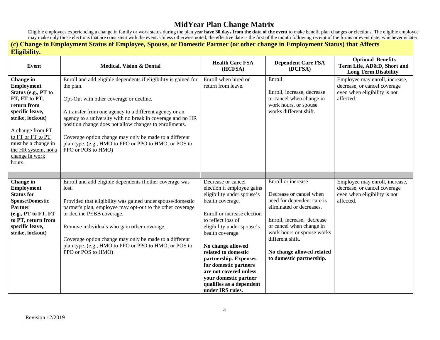Eligible employees experiencing a change in family or work status during the plan year **have 30 days from the date of the event** to make benefit plan changes or elections. The eligible employee may make only those elections that are consistent with the event. Unless otherwise noted, the effective date is the first of the month following receipt of the forms or event date, whichever is later.

| (c) Change in Employment Status of Employee, Spouse, or Domestic Partner (or other change in Employment Status) that Affects<br>Eligibility.                                                                                                     |                                                                                                                                                                                                                                                                                                                                                                                                                                                    |                                                                                                                                                                                                                                                                                                                                                                                                            |                                                                                                                                                                                                                                                                              |                                                                                                             |  |  |
|--------------------------------------------------------------------------------------------------------------------------------------------------------------------------------------------------------------------------------------------------|----------------------------------------------------------------------------------------------------------------------------------------------------------------------------------------------------------------------------------------------------------------------------------------------------------------------------------------------------------------------------------------------------------------------------------------------------|------------------------------------------------------------------------------------------------------------------------------------------------------------------------------------------------------------------------------------------------------------------------------------------------------------------------------------------------------------------------------------------------------------|------------------------------------------------------------------------------------------------------------------------------------------------------------------------------------------------------------------------------------------------------------------------------|-------------------------------------------------------------------------------------------------------------|--|--|
| <b>Event</b>                                                                                                                                                                                                                                     | <b>Medical, Vision &amp; Dental</b>                                                                                                                                                                                                                                                                                                                                                                                                                | <b>Health Care FSA</b><br>(HCFSA)                                                                                                                                                                                                                                                                                                                                                                          | <b>Dependent Care FSA</b><br>(DCFSA)                                                                                                                                                                                                                                         | <b>Optional Benefits</b><br>Term Life, AD&D, Short and<br><b>Long Term Disability</b>                       |  |  |
| Change in<br><b>Employment</b><br>Status (e.g., PT to<br>FT, FT to PT,<br>return from<br>specific leave,<br>strike, lockout)<br>A change from PT<br>to FT or FT to PT<br>must be a change in<br>the HR system, not a<br>change in work<br>hours. | Enroll and add eligible dependents if eligibility is gained for<br>the plan.<br>Opt-Out with other coverage or decline.<br>A transfer from one agency to a different agency or an<br>agency to a university with no break in coverage and no HR<br>position change does not allow changes to enrollments.<br>Coverage option change may only be made to a different<br>plan type. (e.g., HMO to PPO or PPO to HMO; or POS to<br>PPO or POS to HMO) | Enroll when hired or<br>return from leave.                                                                                                                                                                                                                                                                                                                                                                 | Enroll<br>Enroll, increase, decrease<br>or cancel when change in<br>work hours, or spouse<br>works different shift.                                                                                                                                                          | Employee may enroll, increase,<br>decrease, or cancel coverage<br>even when eligibility is not<br>affected. |  |  |
|                                                                                                                                                                                                                                                  |                                                                                                                                                                                                                                                                                                                                                                                                                                                    |                                                                                                                                                                                                                                                                                                                                                                                                            |                                                                                                                                                                                                                                                                              |                                                                                                             |  |  |
| Change in<br><b>Employment</b><br><b>Status for</b><br><b>Spouse/Domestic</b><br><b>Partner</b><br>(e.g., PT to FT, FT<br>to PT, return from<br>specific leave,<br>strike, lockout)                                                              | Enroll and add eligible dependents if other coverage was<br>lost.<br>Provided that eligibility was gained under spouse/domestic<br>partner's plan, employee may opt-out to the other coverage<br>or decline PEBB coverage.<br>Remove individuals who gain other coverage.<br>Coverage option change may only be made to a different<br>plan type. (e.g., HMO to PPO or PPO to HMO; or POS to<br>PPO or POS to HMO)                                 | Decrease or cancel<br>election if employee gains<br>eligibility under spouse's<br>health coverage.<br>Enroll or increase election<br>to reflect loss of<br>eligibility under spouse's<br>health coverage.<br>No change allowed<br>related to domestic<br>partnership. Expenses<br>for domestic partners<br>are not covered unless<br>your domestic partner<br>qualifies as a dependent<br>under IRS rules. | Enroll or increase<br>Decrease or cancel when<br>need for dependent care is<br>eliminated or decreases.<br>Enroll, increase, decrease<br>or cancel when change in<br>work hours or spouse works<br>different shift.<br>No change allowed related<br>to domestic partnership. | Employee may enroll, increase,<br>decrease, or cancel coverage<br>even when eligibility is not<br>affected. |  |  |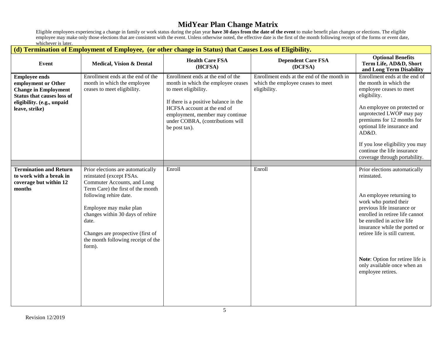Eligible employees experiencing a change in family or work status during the plan year **have 30 days from the date of the event** to make benefit plan changes or elections. The eligible employee may make only those elections that are consistent with the event. Unless otherwise noted, the effective date is the first of the month following receipt of the forms or event date, whichever is later.

#### **(d) Termination of Employment of Employee, (or other change in Status) that Causes Loss of Eligibility.**

|                                                                                                                                                                 |                                                                                                                                                                                                                                                                                                                         | <u>u) i chimiativn vi Employment of Employee, (of other change in Status) that Causes Loss of Englomty.</u><br><b>Health Care FSA</b>                                                                                                                           | <b>Dependent Care FSA</b>                                                                       | <b>Optional Benefits</b>                                                                                                                                                                                                                                                                                                                                    |
|-----------------------------------------------------------------------------------------------------------------------------------------------------------------|-------------------------------------------------------------------------------------------------------------------------------------------------------------------------------------------------------------------------------------------------------------------------------------------------------------------------|-----------------------------------------------------------------------------------------------------------------------------------------------------------------------------------------------------------------------------------------------------------------|-------------------------------------------------------------------------------------------------|-------------------------------------------------------------------------------------------------------------------------------------------------------------------------------------------------------------------------------------------------------------------------------------------------------------------------------------------------------------|
| Event                                                                                                                                                           | <b>Medical, Vision &amp; Dental</b>                                                                                                                                                                                                                                                                                     | (HCFSA)                                                                                                                                                                                                                                                         | (DCFSA)                                                                                         | Term Life, AD&D, Short<br>and Long Term Disability                                                                                                                                                                                                                                                                                                          |
| <b>Employee ends</b><br>employment or Other<br><b>Change in Employment</b><br><b>Status that causes loss of</b><br>eligibility. (e.g., unpaid<br>leave, strike) | Enrollment ends at the end of the<br>month in which the employee<br>ceases to meet eligibility.                                                                                                                                                                                                                         | Enrollment ends at the end of the<br>month in which the employee ceases<br>to meet eligibility.<br>If there is a positive balance in the<br>HCFSA account at the end of<br>employment, member may continue<br>under COBRA, (contributions will<br>be post tax). | Enrollment ends at the end of the month in<br>which the employee ceases to meet<br>eligibility. | Enrollment ends at the end of<br>the month in which the<br>employee ceases to meet<br>eligibility.<br>An employee on protected or<br>unprotected LWOP may pay<br>premiums for 12 months for<br>optional life insurance and<br>AD&D.<br>If you lose eligibility you may<br>continue the life insurance<br>coverage through portability.                      |
|                                                                                                                                                                 |                                                                                                                                                                                                                                                                                                                         |                                                                                                                                                                                                                                                                 |                                                                                                 |                                                                                                                                                                                                                                                                                                                                                             |
| <b>Termination and Return</b><br>to work with a break in<br>coverage but within 12<br>months                                                                    | Prior elections are automatically<br>reinstated (except FSAs.<br>Commuter Accounts, and Long<br>Term Care) the first of the month<br>following rehire date.<br>Employee may make plan<br>changes within 30 days of rehire<br>date.<br>Changes are prospective (first of<br>the month following receipt of the<br>form). | Enroll                                                                                                                                                                                                                                                          | Enroll                                                                                          | Prior elections automatically<br>reinstated.<br>An employee returning to<br>work who ported their<br>previous life insurance or<br>enrolled in retiree life cannot<br>be enrolled in active life<br>insurance while the ported or<br>retiree life is still current.<br>Note: Option for retiree life is<br>only available once when an<br>employee retires. |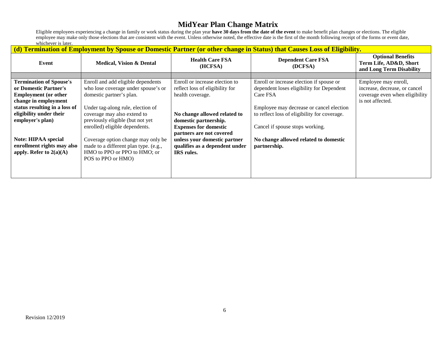Eligible employees experiencing a change in family or work status during the plan year **have 30 days from the date of the event** to make benefit plan changes or elections. The eligible employee may make only those elections that are consistent with the event. Unless otherwise noted, the effective date is the first of the month following receipt of the forms or event date, whichever is later.

| (d) Termination of Employment by Spouse or Domestic Partner (or other change in Status) that Causes Loss of Eligibility. |                                       |                                   |                                              |                                                                                |  |  |
|--------------------------------------------------------------------------------------------------------------------------|---------------------------------------|-----------------------------------|----------------------------------------------|--------------------------------------------------------------------------------|--|--|
| Event                                                                                                                    | <b>Medical, Vision &amp; Dental</b>   | <b>Health Care FSA</b><br>(HCFSA) | <b>Dependent Care FSA</b><br>(DCFSA)         | <b>Optional Benefits</b><br>Term Life, AD&D, Short<br>and Long Term Disability |  |  |
|                                                                                                                          |                                       |                                   |                                              |                                                                                |  |  |
| <b>Termination of Spouse's</b>                                                                                           | Enroll and add eligible dependents    | Enroll or increase election to    | Enroll or increase election if spouse or     | Employee may enroll,                                                           |  |  |
| or Domestic Partner's                                                                                                    | who lose coverage under spouse's or   | reflect loss of eligibility for   | dependent loses eligibility for Dependent    | increase, decrease, or cancel                                                  |  |  |
| <b>Employment</b> (or other                                                                                              | domestic partner's plan.              | health coverage.                  | Care FSA                                     | coverage even when eligibility                                                 |  |  |
| change in employment                                                                                                     |                                       |                                   |                                              | is not affected.                                                               |  |  |
| status resulting in a loss of                                                                                            | Under tag-along rule, election of     |                                   | Employee may decrease or cancel election     |                                                                                |  |  |
| eligibility under their                                                                                                  | coverage may also extend to           | No change allowed related to      | to reflect loss of eligibility for coverage. |                                                                                |  |  |
| employer's plan)                                                                                                         | previously eligible (but not yet      | domestic partnership.             |                                              |                                                                                |  |  |
|                                                                                                                          | enrolled) eligible dependents.        | <b>Expenses for domestic</b>      | Cancel if spouse stops working.              |                                                                                |  |  |
|                                                                                                                          |                                       | partners are not covered          |                                              |                                                                                |  |  |
| <b>Note: HIPAA special</b>                                                                                               | Coverage option change may only be    | unless your domestic partner      | No change allowed related to domestic        |                                                                                |  |  |
| enrollment rights may also                                                                                               | made to a different plan type. (e.g., | qualifies as a dependent under    | partnership.                                 |                                                                                |  |  |
| apply. Refer to $2(a)(A)$                                                                                                | HMO to PPO or PPO to HMO; or          | <b>IRS</b> rules.                 |                                              |                                                                                |  |  |
|                                                                                                                          | POS to PPO or HMO)                    |                                   |                                              |                                                                                |  |  |
|                                                                                                                          |                                       |                                   |                                              |                                                                                |  |  |
|                                                                                                                          |                                       |                                   |                                              |                                                                                |  |  |
|                                                                                                                          |                                       |                                   |                                              |                                                                                |  |  |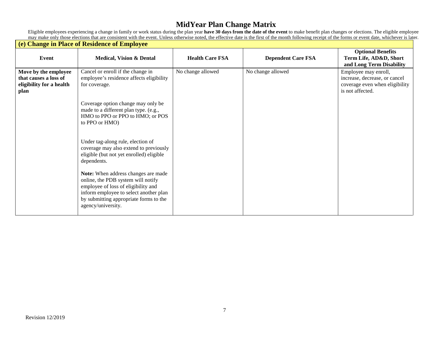Eligible employees experiencing a change in family or work status during the plan year **have 30 days from the date of the event** to make benefit plan changes or elections. The eligible employee may make only those elections that are consistent with the event. Unless otherwise noted, the effective date is the first of the month following receipt of the forms or event date, whichever is later.

|                                                                                   | (e) Change in Place of Residence of Employee                                                                                                                                                                               |                        |                           |                                                                                                             |
|-----------------------------------------------------------------------------------|----------------------------------------------------------------------------------------------------------------------------------------------------------------------------------------------------------------------------|------------------------|---------------------------|-------------------------------------------------------------------------------------------------------------|
| Event                                                                             | <b>Medical, Vision &amp; Dental</b>                                                                                                                                                                                        | <b>Health Care FSA</b> | <b>Dependent Care FSA</b> | <b>Optional Benefits</b><br>Term Life, AD&D, Short<br>and Long Term Disability                              |
| Move by the employee<br>that causes a loss of<br>eligibility for a health<br>plan | Cancel or enroll if the change in<br>employee's residence affects eligibility<br>for coverage.                                                                                                                             | No change allowed      | No change allowed         | Employee may enroll,<br>increase, decrease, or cancel<br>coverage even when eligibility<br>is not affected. |
|                                                                                   | Coverage option change may only be<br>made to a different plan type. (e.g.,<br>HMO to PPO or PPO to HMO; or POS<br>to PPO or HMO)                                                                                          |                        |                           |                                                                                                             |
|                                                                                   | Under tag-along rule, election of<br>coverage may also extend to previously<br>eligible (but not yet enrolled) eligible<br>dependents.                                                                                     |                        |                           |                                                                                                             |
|                                                                                   | Note: When address changes are made<br>online, the PDB system will notify<br>employee of loss of eligibility and<br>inform employee to select another plan<br>by submitting appropriate forms to the<br>agency/university. |                        |                           |                                                                                                             |

 $\mathbf{r}$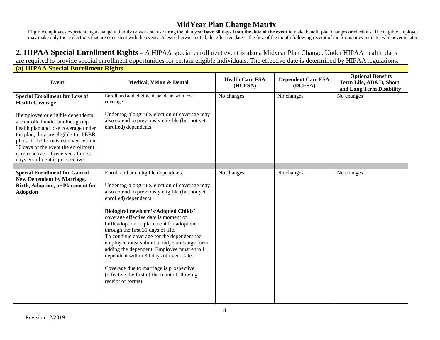Eligible employees experiencing a change in family or work status during the plan year **have 30 days from the date of the event** to make benefit plan changes or elections. The eligible employee may make only those elections that are consistent with the event. Unless otherwise noted, the effective date is the first of the month following receipt of the forms or event date, whichever is later.

#### **2. HIPAA Special Enrollment Rights –** A HIPAA special enrollment event is also a Midyear Plan Change. Under HIPAA health plans are required to provide special enrollment opportunities for certain eligible individuals. The effective date is determined by HIPAA regulations.

| (a) HIPAA Special Enrollment Rights                                                                                                                                                                                                                                                                              |                                                                                                                                                                                                                                                                                                                                                                                                                                                                                                                                                                                                                                          |                                   |                                      |                                                                                |  |  |
|------------------------------------------------------------------------------------------------------------------------------------------------------------------------------------------------------------------------------------------------------------------------------------------------------------------|------------------------------------------------------------------------------------------------------------------------------------------------------------------------------------------------------------------------------------------------------------------------------------------------------------------------------------------------------------------------------------------------------------------------------------------------------------------------------------------------------------------------------------------------------------------------------------------------------------------------------------------|-----------------------------------|--------------------------------------|--------------------------------------------------------------------------------|--|--|
| <b>Event</b>                                                                                                                                                                                                                                                                                                     | <b>Medical, Vision &amp; Dental</b>                                                                                                                                                                                                                                                                                                                                                                                                                                                                                                                                                                                                      | <b>Health Care FSA</b><br>(HCFSA) | <b>Dependent Care FSA</b><br>(DCFSA) | <b>Optional Benefits</b><br>Term Life, AD&D, Short<br>and Long Term Disability |  |  |
| <b>Special Enrollment for Loss of</b><br><b>Health Coverage</b>                                                                                                                                                                                                                                                  | Enroll and add eligible dependents who lose<br>coverage.                                                                                                                                                                                                                                                                                                                                                                                                                                                                                                                                                                                 | No changes                        | No changes                           | No changes                                                                     |  |  |
| If employee or eligible dependents<br>are enrolled under another group<br>health plan and lose coverage under<br>the plan, they are eligible for PEBB<br>plans. If the form is received within<br>30 days of the event the enrollment<br>is retroactive. If received after 30<br>days enrollment is prospective. | Under tag-along rule, election of coverage may<br>also extend to previously eligible (but not yet<br>enrolled) dependents.                                                                                                                                                                                                                                                                                                                                                                                                                                                                                                               |                                   |                                      |                                                                                |  |  |
|                                                                                                                                                                                                                                                                                                                  |                                                                                                                                                                                                                                                                                                                                                                                                                                                                                                                                                                                                                                          |                                   |                                      |                                                                                |  |  |
| <b>Special Enrollment for Gain of</b><br><b>New Dependent by Marriage,</b><br><b>Birth, Adoption, or Placement for</b><br><b>Adoption</b>                                                                                                                                                                        | Enroll and add eligible dependents.<br>Under tag-along rule, election of coverage may<br>also extend to previously eligible (but not yet<br>enrolled) dependents.<br>Biological newborn's/Adopted Childs'<br>coverage effective date is moment of<br>birth/adoption or placement for adoption<br>through the first 31 days of life.<br>To continue coverage for the dependent the<br>employee must submit a midyear change form<br>adding the dependent. Employee must enroll<br>dependent within 30 days of event date.<br>Coverage due to marriage is prospective<br>(effective the first of the month following<br>receipt of forms). | No changes                        | No changes                           | No changes                                                                     |  |  |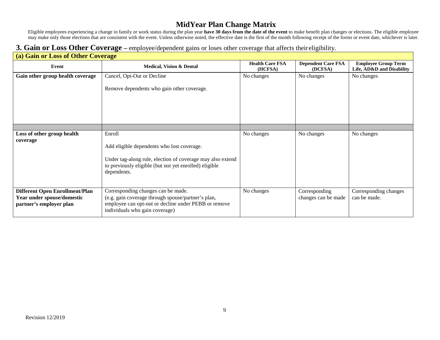Eligible employees experiencing a change in family or work status during the plan year **have 30 days from the date of the event** to make benefit plan changes or elections. The eligible employee may make only those elections that are consistent with the event. Unless otherwise noted, the effective date is the first of the month following receipt of the forms or event date, whichever is later.

#### **3. Gain or Loss Other Coverage –** employee/dependent gains or loses other coverage that affects theireligibility.

|                                                                                                | (a) Gain or Loss of Other Coverage                                                                                                                                                          |                                   |                                      |                                                         |  |  |  |
|------------------------------------------------------------------------------------------------|---------------------------------------------------------------------------------------------------------------------------------------------------------------------------------------------|-----------------------------------|--------------------------------------|---------------------------------------------------------|--|--|--|
| Event                                                                                          | <b>Medical, Vision &amp; Dental</b>                                                                                                                                                         | <b>Health Care FSA</b><br>(HCFSA) | <b>Dependent Care FSA</b><br>(DCFSA) | <b>Employee Group Term</b><br>Life, AD&D and Disability |  |  |  |
| Gain other group health coverage                                                               | Cancel, Opt-Out or Decline<br>Remove dependents who gain other coverage.                                                                                                                    | No changes                        | No changes                           | No changes                                              |  |  |  |
|                                                                                                |                                                                                                                                                                                             |                                   |                                      |                                                         |  |  |  |
| Loss of other group health<br>coverage                                                         | Enroll<br>Add eligible dependents who lost coverage.<br>Under tag-along rule, election of coverage may also extend<br>to previously eligible (but not yet enrolled) eligible<br>dependents. | No changes                        | No changes                           | No changes                                              |  |  |  |
| <b>Different Open Enrollment/Plan</b><br>Year under spouse/domestic<br>partner's employer plan | Corresponding changes can be made.<br>(e.g. gain coverage through spouse/partner's plan,<br>employee can opt-out or decline under PEBB or remove<br>individuals who gain coverage)          | No changes                        | Corresponding<br>changes can be made | Corresponding changes<br>can be made.                   |  |  |  |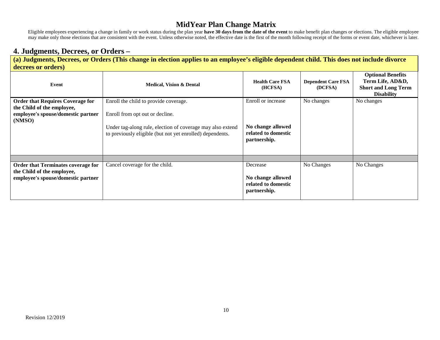Eligible employees experiencing a change in family or work status during the plan year **have 30 days from the date of the event** to make benefit plan changes or elections. The eligible employee may make only those elections that are consistent with the event. Unless otherwise noted, the effective date is the first of the month following receipt of the forms or event date, whichever is later.

#### **4. Judgments, Decrees, or Orders –**

**(a) Judgments, Decrees, or Orders (This change in election applies to an employee's eligible dependent child. This does not include divorce decrees or orders)**

| Event                                                                                                                 | <b>Medical, Vision &amp; Dental</b>                                                                                                                                                                 | <b>Health Care FSA</b><br>(HCFSA)                                              | <b>Dependent Care FSA</b><br>(DCFSA) | <b>Optional Benefits</b><br>Term Life, AD&D,<br><b>Short and Long Term</b><br><b>Disability</b> |
|-----------------------------------------------------------------------------------------------------------------------|-----------------------------------------------------------------------------------------------------------------------------------------------------------------------------------------------------|--------------------------------------------------------------------------------|--------------------------------------|-------------------------------------------------------------------------------------------------|
| <b>Order that Requires Coverage for</b><br>the Child of the employee,<br>employee's spouse/domestic partner<br>(NMSO) | Enroll the child to provide coverage.<br>Enroll from opt out or decline.<br>Under tag-along rule, election of coverage may also extend<br>to previously eligible (but not yet enrolled) dependents. | Enroll or increase<br>No change allowed<br>related to domestic<br>partnership. | No changes                           | No changes                                                                                      |
| <b>Order that Terminates coverage for</b>                                                                             | Cancel coverage for the child.                                                                                                                                                                      | Decrease                                                                       | No Changes                           | No Changes                                                                                      |
| the Child of the employee,<br>employee's spouse/domestic partner                                                      |                                                                                                                                                                                                     | No change allowed<br>related to domestic<br>partnership.                       |                                      |                                                                                                 |